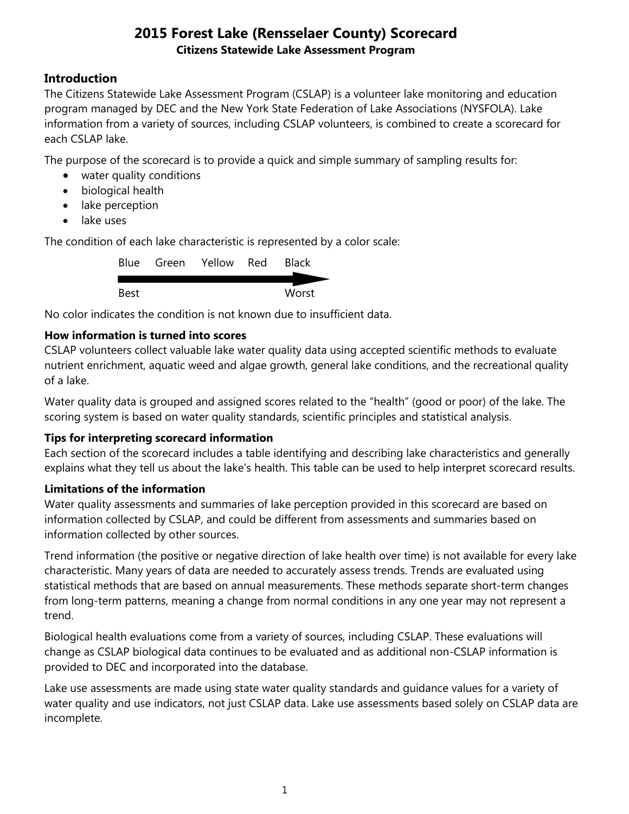### **Introduction**

The Citizens Statewide Lake Assessment Program (CSLAP) is a volunteer lake monitoring and education program managed by DEC and the New York State Federation of Lake Associations (NYSFOLA). Lake information from a variety of sources, including CSLAP volunteers, is combined to create a scorecard for each CSLAP lake.

The purpose of the scorecard is to provide a quick and simple summary of sampling results for:

- water quality conditions
- biological health
- lake perception
- lake uses

The condition of each lake characteristic is represented by a color scale:

|      | Blue Green Yellow Red | <b>Black</b> |
|------|-----------------------|--------------|
|      |                       |              |
| Best |                       | Worst        |

No color indicates the condition is not known due to insufficient data.

### **How information is turned into scores**

CSLAP volunteers collect valuable lake water quality data using accepted scientific methods to evaluate nutrient enrichment, aquatic weed and algae growth, general lake conditions, and the recreational quality of a lake.

Water quality data is grouped and assigned scores related to the "health" (good or poor) of the lake. The scoring system is based on water quality standards, scientific principles and statistical analysis.

#### **Tips for interpreting scorecard information**

Each section of the scorecard includes a table identifying and describing lake characteristics and generally explains what they tell us about the lake's health. This table can be used to help interpret scorecard results.

#### **Limitations of the information**

Water quality assessments and summaries of lake perception provided in this scorecard are based on information collected by CSLAP, and could be different from assessments and summaries based on information collected by other sources.

Trend information (the positive or negative direction of lake health over time) is not available for every lake characteristic. Many years of data are needed to accurately assess trends. Trends are evaluated using statistical methods that are based on annual measurements. These methods separate short-term changes from long-term patterns, meaning a change from normal conditions in any one year may not represent a trend.

Biological health evaluations come from a variety of sources, including CSLAP. These evaluations will change as CSLAP biological data continues to be evaluated and as additional non-CSLAP information is provided to DEC and incorporated into the database.

Lake use assessments are made using state water quality standards and guidance values for a variety of water quality and use indicators, not just CSLAP data. Lake use assessments based solely on CSLAP data are incomplete.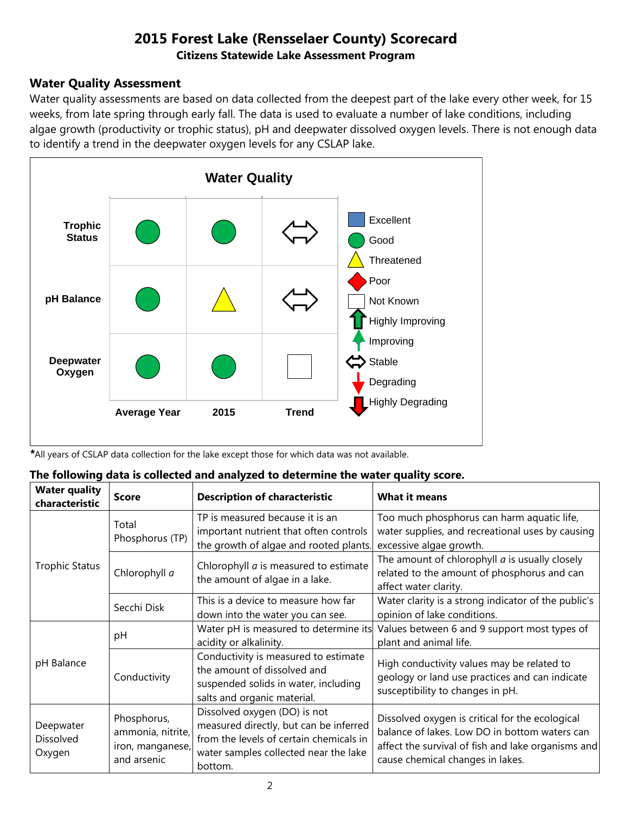#### **Water Quality Assessment**

Water quality assessments are based on data collected from the deepest part of the lake every other week, for 15 weeks, from late spring through early fall. The data is used to evaluate a number of lake conditions, including algae growth (productivity or trophic status), pH and deepwater dissolved oxygen levels. There is not enough data to identify a trend in the deepwater oxygen levels for any CSLAP lake.



*\**All years of CSLAP data collection for the lake except those for which data was not available.

| The following data is collected and analyzed to determine the water quality score. |  |
|------------------------------------------------------------------------------------|--|
|------------------------------------------------------------------------------------|--|

| <b>Water quality</b><br>characteristic  | <b>Score</b>                                                        | <b>Description of characteristic</b>                                                                                                                                  | <b>What it means</b>                                                                                                                                                                       |
|-----------------------------------------|---------------------------------------------------------------------|-----------------------------------------------------------------------------------------------------------------------------------------------------------------------|--------------------------------------------------------------------------------------------------------------------------------------------------------------------------------------------|
|                                         | Total<br>Phosphorus (TP)                                            | TP is measured because it is an<br>important nutrient that often controls<br>the growth of algae and rooted plants.                                                   | Too much phosphorus can harm aquatic life,<br>water supplies, and recreational uses by causing<br>excessive algae growth.                                                                  |
| <b>Trophic Status</b>                   | Chlorophyll a                                                       | Chlorophyll <i>a</i> is measured to estimate<br>the amount of algae in a lake.                                                                                        | The amount of chlorophyll $a$ is usually closely<br>related to the amount of phosphorus and can<br>affect water clarity.                                                                   |
|                                         | Secchi Disk                                                         | This is a device to measure how far<br>down into the water you can see.                                                                                               | Water clarity is a strong indicator of the public's<br>opinion of lake conditions.                                                                                                         |
|                                         | pH                                                                  | Water pH is measured to determine its<br>acidity or alkalinity.                                                                                                       | Values between 6 and 9 support most types of<br>plant and animal life.                                                                                                                     |
| pH Balance                              | Conductivity                                                        | Conductivity is measured to estimate<br>the amount of dissolved and<br>suspended solids in water, including<br>salts and organic material.                            | High conductivity values may be related to<br>geology or land use practices and can indicate<br>susceptibility to changes in pH.                                                           |
| Deepwater<br><b>Dissolved</b><br>Oxygen | Phosphorus,<br>ammonia, nitrite,<br>iron, manganese,<br>and arsenic | Dissolved oxygen (DO) is not<br>measured directly, but can be inferred<br>from the levels of certain chemicals in<br>water samples collected near the lake<br>bottom. | Dissolved oxygen is critical for the ecological<br>balance of lakes. Low DO in bottom waters can<br>affect the survival of fish and lake organisms and<br>cause chemical changes in lakes. |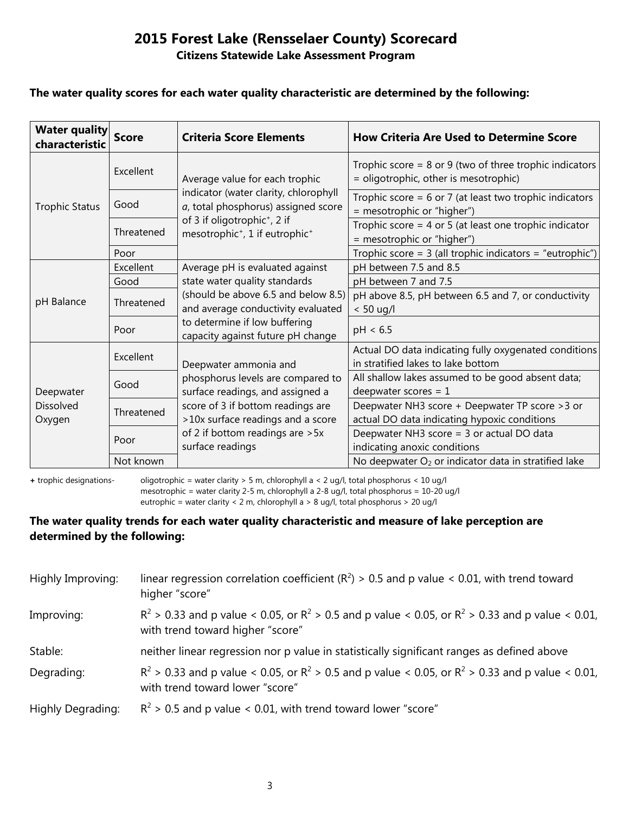# **2015 Forest Lake (Rensselaer County) Scorecard**

#### **Citizens Statewide Lake Assessment Program**

#### **The water quality scores for each water quality characteristic are determined by the following:**

| <b>Water quality</b><br>characteristic | <b>Score</b> | <b>Criteria Score Elements</b>                                                                                 | <b>How Criteria Are Used to Determine Score</b>                                                      |
|----------------------------------------|--------------|----------------------------------------------------------------------------------------------------------------|------------------------------------------------------------------------------------------------------|
| <b>Trophic Status</b>                  | Excellent    | Average value for each trophic<br>indicator (water clarity, chlorophyll<br>a, total phosphorus) assigned score | Trophic score = $8$ or $9$ (two of three trophic indicators<br>= oligotrophic, other is mesotrophic) |
|                                        | Good         |                                                                                                                | Trophic score = $6$ or 7 (at least two trophic indicators<br>= mesotrophic or "higher")              |
|                                        | Threatened   | of 3 if oligotrophic <sup>+</sup> , 2 if<br>mesotrophic <sup>+</sup> , 1 if eutrophic <sup>+</sup>             | Trophic score = $4$ or $5$ (at least one trophic indicator<br>= mesotrophic or "higher")             |
|                                        | Poor         |                                                                                                                | Trophic score = $3$ (all trophic indicators = "eutrophic")                                           |
|                                        | Excellent    | Average pH is evaluated against                                                                                | pH between 7.5 and 8.5                                                                               |
|                                        | Good         | state water quality standards                                                                                  | pH between 7 and 7.5                                                                                 |
| pH Balance                             | Threatened   | (should be above 6.5 and below 8.5)<br>and average conductivity evaluated                                      | pH above 8.5, pH between 6.5 and 7, or conductivity<br>$< 50$ ug/l                                   |
|                                        | Poor         | to determine if low buffering<br>capacity against future pH change                                             | pH < 6.5                                                                                             |
| Deepwater<br>Dissolved<br>Oxygen       | Excellent    | Deepwater ammonia and<br>phosphorus levels are compared to<br>surface readings, and assigned a                 | Actual DO data indicating fully oxygenated conditions<br>in stratified lakes to lake bottom          |
|                                        | Good         |                                                                                                                | All shallow lakes assumed to be good absent data;<br>deepwater scores = $1$                          |
|                                        | Threatened   | score of 3 if bottom readings are<br>>10x surface readings and a score                                         | Deepwater NH3 score + Deepwater TP score > 3 or<br>actual DO data indicating hypoxic conditions      |
|                                        | Poor         | of 2 if bottom readings are > 5x<br>surface readings                                                           | Deepwater NH3 score = 3 or actual DO data<br>indicating anoxic conditions                            |
|                                        | Not known    |                                                                                                                | No deepwater O <sub>2</sub> or indicator data in stratified lake                                     |

**+** trophic designations- oligotrophic = water clarity > 5 m, chlorophyll a < 2 ug/l, total phosphorus < 10 ug/l mesotrophic = water clarity 2-5 m, chlorophyll a 2-8 ug/l, total phosphorus = 10-20 ug/l

eutrophic = water clarity < 2 m, chlorophyll a > 8 ug/l, total phosphorus > 20 ug/l

#### **The water quality trends for each water quality characteristic and measure of lake perception are determined by the following:**

| Highly Improving: | linear regression correlation coefficient ( $R^2$ ) > 0.5 and p value < 0.01, with trend toward<br>higher "score"                           |
|-------------------|---------------------------------------------------------------------------------------------------------------------------------------------|
| Improving:        | $R^2 > 0.33$ and p value < 0.05, or $R^2 > 0.5$ and p value < 0.05, or $R^2 > 0.33$ and p value < 0.01,<br>with trend toward higher "score" |
| Stable:           | neither linear regression nor p value in statistically significant ranges as defined above                                                  |
| Degrading:        | $R^2 > 0.33$ and p value < 0.05, or $R^2 > 0.5$ and p value < 0.05, or $R^2 > 0.33$ and p value < 0.01,<br>with trend toward lower "score"  |
| Highly Degrading: | $R^2$ > 0.5 and p value < 0.01, with trend toward lower "score"                                                                             |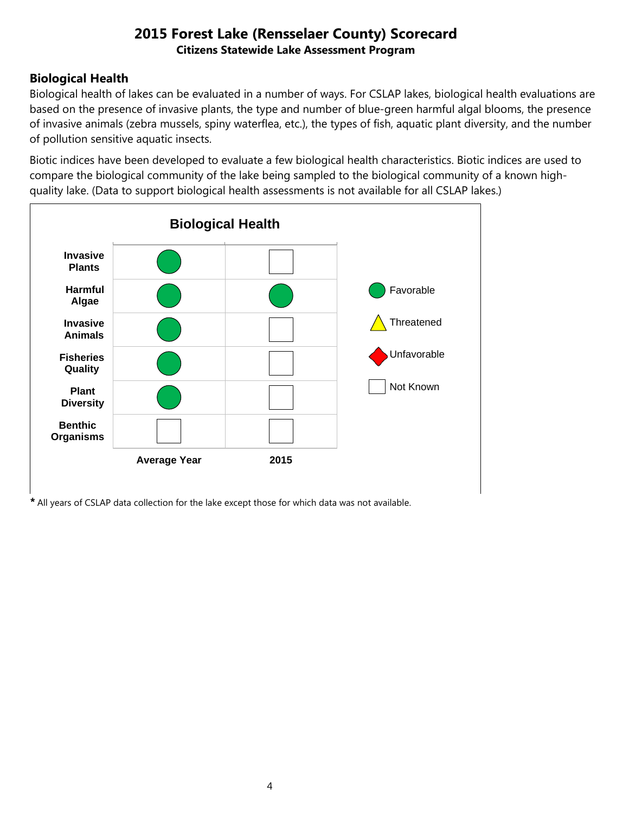## **Biological Health**

Biological health of lakes can be evaluated in a number of ways. For CSLAP lakes, biological health evaluations are based on the presence of invasive plants, the type and number of blue-green harmful algal blooms, the presence of invasive animals (zebra mussels, spiny waterflea, etc.), the types of fish, aquatic plant diversity, and the number of pollution sensitive aquatic insects.

Biotic indices have been developed to evaluate a few biological health characteristics. Biotic indices are used to compare the biological community of the lake being sampled to the biological community of a known highquality lake. (Data to support biological health assessments is not available for all CSLAP lakes.)



*\** All years of CSLAP data collection for the lake except those for which data was not available.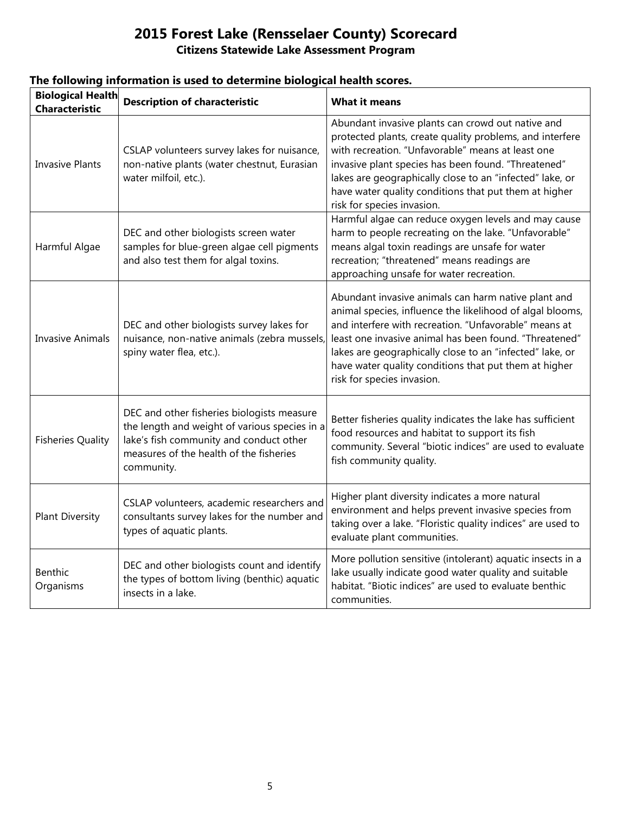| <b>Biological Health</b><br><b>Characteristic</b> | <b>Description of characteristic</b>                                                                                                                                                            | <b>What it means</b>                                                                                                                                                                                                                                                                                                                                                                   |
|---------------------------------------------------|-------------------------------------------------------------------------------------------------------------------------------------------------------------------------------------------------|----------------------------------------------------------------------------------------------------------------------------------------------------------------------------------------------------------------------------------------------------------------------------------------------------------------------------------------------------------------------------------------|
| <b>Invasive Plants</b>                            | CSLAP volunteers survey lakes for nuisance,<br>non-native plants (water chestnut, Eurasian<br>water milfoil, etc.).                                                                             | Abundant invasive plants can crowd out native and<br>protected plants, create quality problems, and interfere<br>with recreation. "Unfavorable" means at least one<br>invasive plant species has been found. "Threatened"<br>lakes are geographically close to an "infected" lake, or<br>have water quality conditions that put them at higher<br>risk for species invasion.           |
| Harmful Algae                                     | DEC and other biologists screen water<br>samples for blue-green algae cell pigments<br>and also test them for algal toxins.                                                                     | Harmful algae can reduce oxygen levels and may cause<br>harm to people recreating on the lake. "Unfavorable"<br>means algal toxin readings are unsafe for water<br>recreation; "threatened" means readings are<br>approaching unsafe for water recreation.                                                                                                                             |
| <b>Invasive Animals</b>                           | DEC and other biologists survey lakes for<br>nuisance, non-native animals (zebra mussels,<br>spiny water flea, etc.).                                                                           | Abundant invasive animals can harm native plant and<br>animal species, influence the likelihood of algal blooms,<br>and interfere with recreation. "Unfavorable" means at<br>least one invasive animal has been found. "Threatened"<br>lakes are geographically close to an "infected" lake, or<br>have water quality conditions that put them at higher<br>risk for species invasion. |
| <b>Fisheries Quality</b>                          | DEC and other fisheries biologists measure<br>the length and weight of various species in a<br>lake's fish community and conduct other<br>measures of the health of the fisheries<br>community. | Better fisheries quality indicates the lake has sufficient<br>food resources and habitat to support its fish<br>community. Several "biotic indices" are used to evaluate<br>fish community quality.                                                                                                                                                                                    |
| <b>Plant Diversity</b>                            | CSLAP volunteers, academic researchers and<br>consultants survey lakes for the number and<br>types of aquatic plants.                                                                           | Higher plant diversity indicates a more natural<br>environment and helps prevent invasive species from<br>taking over a lake. "Floristic quality indices" are used to<br>evaluate plant communities.                                                                                                                                                                                   |
| Benthic<br>Organisms                              | DEC and other biologists count and identify<br>the types of bottom living (benthic) aquatic<br>insects in a lake.                                                                               | More pollution sensitive (intolerant) aquatic insects in a<br>lake usually indicate good water quality and suitable<br>habitat. "Biotic indices" are used to evaluate benthic<br>communities.                                                                                                                                                                                          |

#### **The following information is used to determine biological health scores.**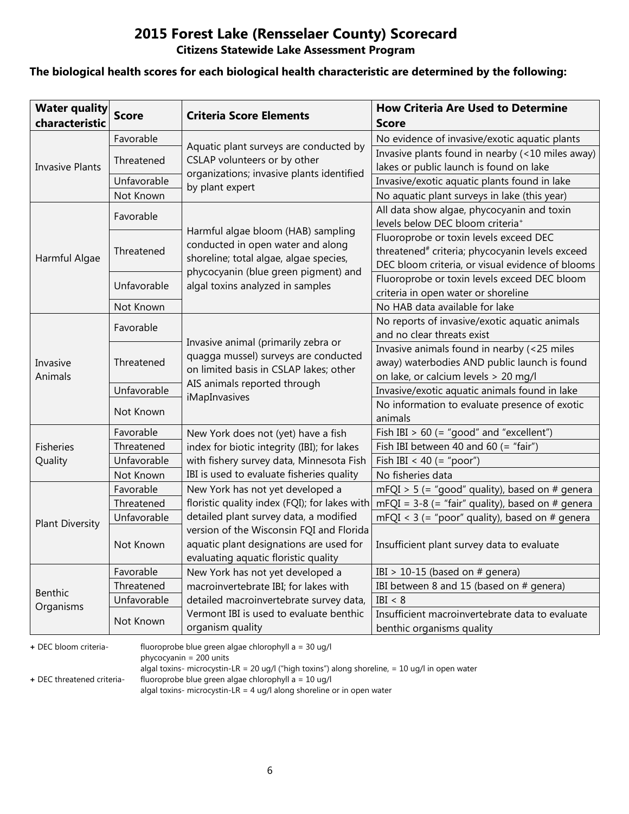#### **The biological health scores for each biological health characteristic are determined by the following:**

| <b>Water quality</b><br>characteristic | <b>Score</b> | <b>Criteria Score Elements</b>                                                 | <b>How Criteria Are Used to Determine</b><br><b>Score</b>                                  |
|----------------------------------------|--------------|--------------------------------------------------------------------------------|--------------------------------------------------------------------------------------------|
|                                        | Favorable    |                                                                                | No evidence of invasive/exotic aquatic plants                                              |
|                                        | Threatened   | Aquatic plant surveys are conducted by<br>CSLAP volunteers or by other         | Invasive plants found in nearby (<10 miles away)                                           |
| <b>Invasive Plants</b>                 |              | organizations; invasive plants identified                                      | lakes or public launch is found on lake                                                    |
|                                        | Unfavorable  | by plant expert                                                                | Invasive/exotic aquatic plants found in lake                                               |
|                                        | Not Known    |                                                                                | No aquatic plant surveys in lake (this year)                                               |
|                                        | Favorable    |                                                                                | All data show algae, phycocyanin and toxin<br>levels below DEC bloom criteria <sup>+</sup> |
|                                        |              | Harmful algae bloom (HAB) sampling                                             | Fluoroprobe or toxin levels exceed DEC                                                     |
|                                        | Threatened   | conducted in open water and along                                              | threatened <sup>#</sup> criteria; phycocyanin levels exceed                                |
| Harmful Algae                          |              | shoreline; total algae, algae species,<br>phycocyanin (blue green pigment) and | DEC bloom criteria, or visual evidence of blooms                                           |
|                                        | Unfavorable  | algal toxins analyzed in samples                                               | Fluoroprobe or toxin levels exceed DEC bloom                                               |
|                                        |              |                                                                                | criteria in open water or shoreline                                                        |
|                                        | Not Known    |                                                                                | No HAB data available for lake                                                             |
|                                        | Favorable    |                                                                                | No reports of invasive/exotic aquatic animals                                              |
|                                        |              |                                                                                | and no clear threats exist                                                                 |
|                                        | Threatened   | Invasive animal (primarily zebra or<br>quagga mussel) surveys are conducted    | Invasive animals found in nearby (<25 miles                                                |
| Invasive                               |              | on limited basis in CSLAP lakes; other<br>AIS animals reported through         | away) waterbodies AND public launch is found                                               |
| Animals                                |              |                                                                                | on lake, or calcium levels > 20 mg/l                                                       |
|                                        | Unfavorable  | iMapInvasives                                                                  | Invasive/exotic aquatic animals found in lake                                              |
|                                        | Not Known    |                                                                                | No information to evaluate presence of exotic                                              |
|                                        |              |                                                                                | animals                                                                                    |
|                                        | Favorable    | New York does not (yet) have a fish                                            | Fish IBI $> 60$ (= "good" and "excellent")                                                 |
| <b>Fisheries</b>                       | Threatened   | index for biotic integrity (IBI); for lakes                                    | Fish IBI between 40 and 60 (= "fair")                                                      |
| Quality                                | Unfavorable  | with fishery survey data, Minnesota Fish                                       | Fish IBI < 40 (= "poor")                                                                   |
|                                        | Not Known    | IBI is used to evaluate fisheries quality                                      | No fisheries data                                                                          |
|                                        | Favorable    | New York has not yet developed a                                               | $mFQI > 5$ (= "good" quality), based on # genera                                           |
|                                        | Threatened   | floristic quality index (FQI); for lakes with                                  | mFQI = $3-8$ (= "fair" quality), based on # genera                                         |
| <b>Plant Diversity</b>                 | Unfavorable  | detailed plant survey data, a modified                                         | mFQI < $3$ (= "poor" quality), based on # genera                                           |
|                                        |              | version of the Wisconsin FQI and Florida                                       |                                                                                            |
|                                        | Not Known    | aquatic plant designations are used for                                        | Insufficient plant survey data to evaluate                                                 |
|                                        |              | evaluating aquatic floristic quality                                           |                                                                                            |
|                                        | Favorable    | New York has not yet developed a                                               | IBI > 10-15 (based on $#$ genera)                                                          |
| Benthic                                | Threatened   | macroinvertebrate IBI; for lakes with                                          | IBI between 8 and 15 (based on # genera)                                                   |
| Organisms                              | Unfavorable  | detailed macroinvertebrate survey data,                                        | IBI < 8                                                                                    |
|                                        | Not Known    | Vermont IBI is used to evaluate benthic                                        | Insufficient macroinvertebrate data to evaluate                                            |
|                                        |              | organism quality                                                               | benthic organisms quality                                                                  |

**+** DEC bloom criteria- fluoroprobe blue green algae chlorophyll a = 30 ug/l

phycocyanin = 200 units

algal toxins- microcystin-LR = 20 ug/l ("high toxins") along shoreline, = 10 ug/l in open water

**+** DEC threatened criteria- fluoroprobe blue green algae chlorophyll a = 10 ug/l

algal toxins- microcystin-LR = 4 ug/l along shoreline or in open water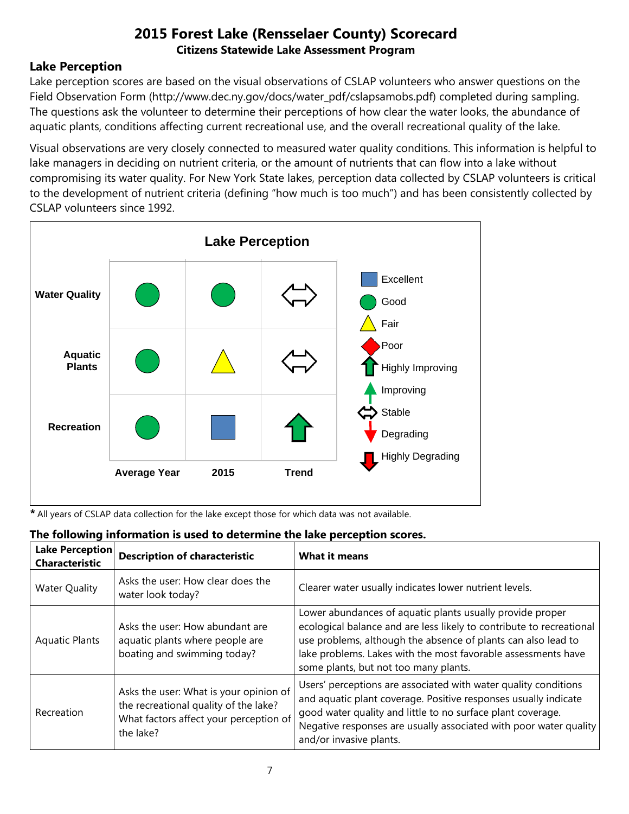#### **Lake Perception**

Lake perception scores are based on the visual observations of CSLAP volunteers who answer questions on the Field Observation Form (http://www.dec.ny.gov/docs/water\_pdf/cslapsamobs.pdf) completed during sampling. The questions ask the volunteer to determine their perceptions of how clear the water looks, the abundance of aquatic plants, conditions affecting current recreational use, and the overall recreational quality of the lake.

Visual observations are very closely connected to measured water quality conditions. This information is helpful to lake managers in deciding on nutrient criteria, or the amount of nutrients that can flow into a lake without compromising its water quality. For New York State lakes, perception data collected by CSLAP volunteers is critical to the development of nutrient criteria (defining "how much is too much") and has been consistently collected by CSLAP volunteers since 1992.



*\** All years of CSLAP data collection for the lake except those for which data was not available.

| The following information is used to determine the lake perception scores.<br><b>Lake Perception</b> |                                                                                                                                        |                                                                                                                                                                                                                                                                                                              |  |  |
|------------------------------------------------------------------------------------------------------|----------------------------------------------------------------------------------------------------------------------------------------|--------------------------------------------------------------------------------------------------------------------------------------------------------------------------------------------------------------------------------------------------------------------------------------------------------------|--|--|
| <b>Characteristic</b>                                                                                | <b>Description of characteristic</b>                                                                                                   | <b>What it means</b>                                                                                                                                                                                                                                                                                         |  |  |
| <b>Water Quality</b>                                                                                 | Asks the user: How clear does the<br>water look today?                                                                                 | Clearer water usually indicates lower nutrient levels.                                                                                                                                                                                                                                                       |  |  |
| <b>Aquatic Plants</b>                                                                                | Asks the user: How abundant are<br>aquatic plants where people are<br>boating and swimming today?                                      | Lower abundances of aquatic plants usually provide proper<br>ecological balance and are less likely to contribute to recreational<br>use problems, although the absence of plants can also lead to<br>lake problems. Lakes with the most favorable assessments have<br>some plants, but not too many plants. |  |  |
| Recreation                                                                                           | Asks the user: What is your opinion of<br>the recreational quality of the lake?<br>What factors affect your perception of<br>the lake? | Users' perceptions are associated with water quality conditions<br>and aquatic plant coverage. Positive responses usually indicate<br>good water quality and little to no surface plant coverage.<br>Negative responses are usually associated with poor water quality<br>and/or invasive plants.            |  |  |

#### **The following information is used to determine the lake perception scores.**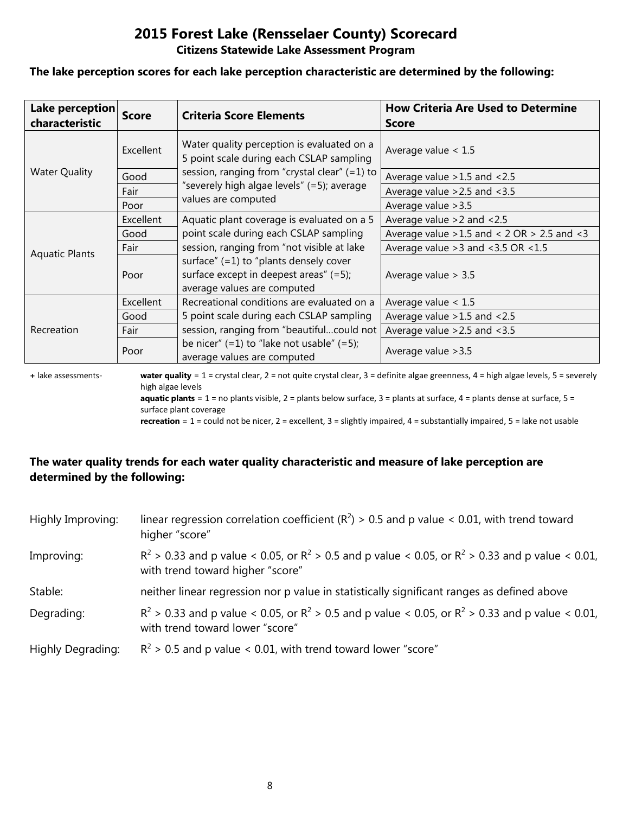#### **The lake perception scores for each lake perception characteristic are determined by the following:**

| Lake perception<br>characteristic | <b>Score</b>     | <b>Criteria Score Elements</b>                                                                                       | <b>How Criteria Are Used to Determine</b><br><b>Score</b> |
|-----------------------------------|------------------|----------------------------------------------------------------------------------------------------------------------|-----------------------------------------------------------|
|                                   | <b>Excellent</b> | Water quality perception is evaluated on a<br>5 point scale during each CSLAP sampling                               | Average value $< 1.5$                                     |
| <b>Water Quality</b>              | Good             | session, ranging from "crystal clear" (=1) to                                                                        | Average value > 1.5 and < 2.5                             |
|                                   | Fair             | "severely high algae levels" (=5); average                                                                           | Average value $>2.5$ and $<3.5$                           |
|                                   | Poor             | values are computed                                                                                                  | Average value > 3.5                                       |
|                                   | Excellent        | Aquatic plant coverage is evaluated on a 5                                                                           | Average value $>2$ and $< 2.5$                            |
|                                   | Good             | point scale during each CSLAP sampling                                                                               | Average value $>1.5$ and < 2 OR $> 2.5$ and < 3           |
| <b>Aquatic Plants</b>             | Fair             | session, ranging from "not visible at lake                                                                           | Average value $>3$ and $<3.5$ OR $<1.5$                   |
|                                   | Poor             | surface" $(=1)$ to "plants densely cover<br>surface except in deepest areas" $(=5)$ ;<br>average values are computed | Average value $> 3.5$                                     |
|                                   | Excellent        | Recreational conditions are evaluated on a                                                                           | Average value $< 1.5$                                     |
| Recreation                        | Good             | 5 point scale during each CSLAP sampling                                                                             | Average value $>1.5$ and $<2.5$                           |
|                                   | Fair             | session, ranging from "beautifulcould not                                                                            | Average value $>2.5$ and $<3.5$                           |
|                                   | Poor             | be nicer" $(=1)$ to "lake not usable" $(=5)$ ;<br>average values are computed                                        | Average value > 3.5                                       |

**+** lake assessments- **water quality** = 1 = crystal clear, 2 = not quite crystal clear, 3 = definite algae greenness, 4 = high algae levels, 5 = severely high algae levels **aquatic plants** = 1 = no plants visible, 2 = plants below surface, 3 = plants at surface, 4 = plants dense at surface, 5 =

surface plant coverage

**recreation** = 1 = could not be nicer, 2 = excellent, 3 = slightly impaired, 4 = substantially impaired, 5 = lake not usable

#### **The water quality trends for each water quality characteristic and measure of lake perception are determined by the following:**

| Highly Improving: | linear regression correlation coefficient ( $R^2$ ) > 0.5 and p value < 0.01, with trend toward<br>higher "score"                           |
|-------------------|---------------------------------------------------------------------------------------------------------------------------------------------|
| Improving:        | $R^2 > 0.33$ and p value < 0.05, or $R^2 > 0.5$ and p value < 0.05, or $R^2 > 0.33$ and p value < 0.01,<br>with trend toward higher "score" |
| Stable:           | neither linear regression nor p value in statistically significant ranges as defined above                                                  |
| Degrading:        | $R^2 > 0.33$ and p value < 0.05, or $R^2 > 0.5$ and p value < 0.05, or $R^2 > 0.33$ and p value < 0.01,<br>with trend toward lower "score"  |
| Highly Degrading: | $R^2$ > 0.5 and p value < 0.01, with trend toward lower "score"                                                                             |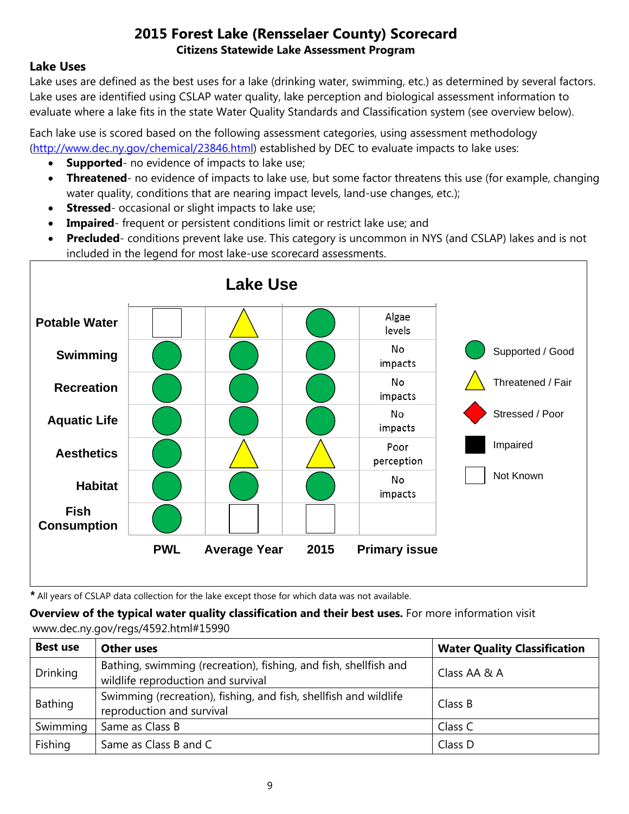#### **Lake Uses**

Lake uses are defined as the best uses for a lake (drinking water, swimming, etc.) as determined by several factors. Lake uses are identified using CSLAP water quality, lake perception and biological assessment information to evaluate where a lake fits in the state Water Quality Standards and Classification system (see overview below).

Each lake use is scored based on the following assessment categories, using assessment methodology [\(http://www.dec.ny.gov/chemical/23846.html\)](http://www.dec.ny.gov/chemical/23846.html) established by DEC to evaluate impacts to lake uses:

- **Supported** no evidence of impacts to lake use;
- **Threatened** no evidence of impacts to lake use, but some factor threatens this use (for example, changing water quality, conditions that are nearing impact levels, land-use changes, etc.);
- **Stressed** occasional or slight impacts to lake use;
- **Impaired** frequent or persistent conditions limit or restrict lake use; and
- **Precluded** conditions prevent lake use. This category is uncommon in NYS (and CSLAP) lakes and is not included in the legend for most lake-use scorecard assessments.



*\** All years of CSLAP data collection for the lake except those for which data was not available.

**Overview of the typical water quality classification and their best uses.** For more information visit www.dec.ny.gov/regs/4592.html#15990

| <b>Best use</b> | <b>Other uses</b>                                                                                      | <b>Water Quality Classification</b> |
|-----------------|--------------------------------------------------------------------------------------------------------|-------------------------------------|
| <b>Drinking</b> | Bathing, swimming (recreation), fishing, and fish, shellfish and<br>wildlife reproduction and survival | Class AA & A                        |
| Bathing         | Swimming (recreation), fishing, and fish, shellfish and wildlife<br>reproduction and survival          | Class B                             |
| Swimming        | Same as Class B                                                                                        | Class C                             |
| Fishing         | Same as Class B and C                                                                                  | Class D                             |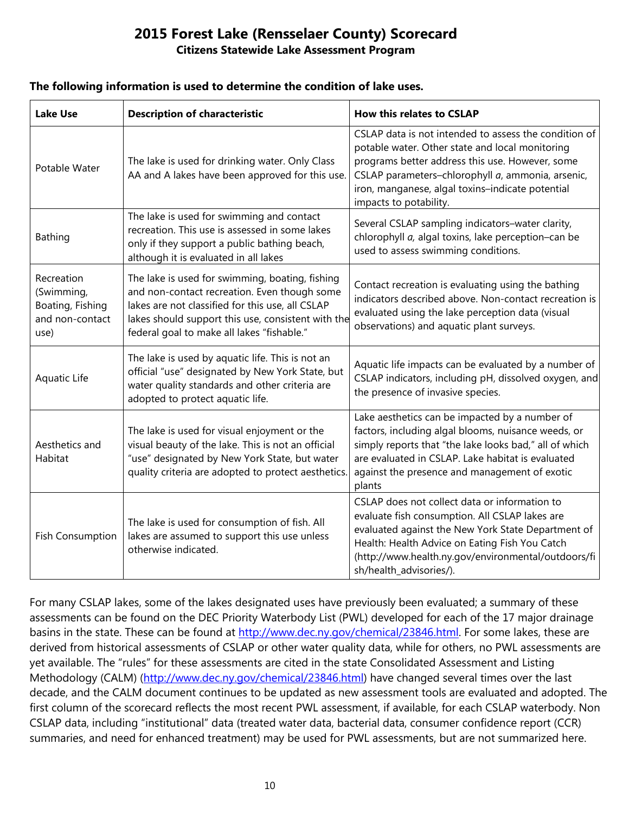#### **The following information is used to determine the condition of lake uses.**

| <b>Lake Use</b>                                                         | <b>Description of characteristic</b>                                                                                                                                                                                                                    | <b>How this relates to CSLAP</b>                                                                                                                                                                                                                                                               |
|-------------------------------------------------------------------------|---------------------------------------------------------------------------------------------------------------------------------------------------------------------------------------------------------------------------------------------------------|------------------------------------------------------------------------------------------------------------------------------------------------------------------------------------------------------------------------------------------------------------------------------------------------|
| Potable Water                                                           | The lake is used for drinking water. Only Class<br>AA and A lakes have been approved for this use.                                                                                                                                                      | CSLAP data is not intended to assess the condition of<br>potable water. Other state and local monitoring<br>programs better address this use. However, some<br>CSLAP parameters-chlorophyll a, ammonia, arsenic,<br>iron, manganese, algal toxins-indicate potential<br>impacts to potability. |
| <b>Bathing</b>                                                          | The lake is used for swimming and contact<br>recreation. This use is assessed in some lakes<br>only if they support a public bathing beach,<br>although it is evaluated in all lakes                                                                    | Several CSLAP sampling indicators-water clarity,<br>chlorophyll a, algal toxins, lake perception-can be<br>used to assess swimming conditions.                                                                                                                                                 |
| Recreation<br>(Swimming,<br>Boating, Fishing<br>and non-contact<br>use) | The lake is used for swimming, boating, fishing<br>and non-contact recreation. Even though some<br>lakes are not classified for this use, all CSLAP<br>lakes should support this use, consistent with the<br>federal goal to make all lakes "fishable." | Contact recreation is evaluating using the bathing<br>indicators described above. Non-contact recreation is<br>evaluated using the lake perception data (visual<br>observations) and aquatic plant surveys.                                                                                    |
| Aquatic Life                                                            | The lake is used by aquatic life. This is not an<br>official "use" designated by New York State, but<br>water quality standards and other criteria are<br>adopted to protect aquatic life.                                                              | Aquatic life impacts can be evaluated by a number of<br>CSLAP indicators, including pH, dissolved oxygen, and<br>the presence of invasive species.                                                                                                                                             |
| Aesthetics and<br>Habitat                                               | The lake is used for visual enjoyment or the<br>visual beauty of the lake. This is not an official<br>"use" designated by New York State, but water<br>quality criteria are adopted to protect aesthetics.                                              | Lake aesthetics can be impacted by a number of<br>factors, including algal blooms, nuisance weeds, or<br>simply reports that "the lake looks bad," all of which<br>are evaluated in CSLAP. Lake habitat is evaluated<br>against the presence and management of exotic<br>plants                |
| <b>Fish Consumption</b>                                                 | The lake is used for consumption of fish. All<br>lakes are assumed to support this use unless<br>otherwise indicated.                                                                                                                                   | CSLAP does not collect data or information to<br>evaluate fish consumption. All CSLAP lakes are<br>evaluated against the New York State Department of<br>Health: Health Advice on Eating Fish You Catch<br>(http://www.health.ny.gov/environmental/outdoors/fi<br>sh/health_advisories/).      |

For many CSLAP lakes, some of the lakes designated uses have previously been evaluated; a summary of these assessments can be found on the DEC Priority Waterbody List (PWL) developed for each of the 17 major drainage basins in the state. These can be found at [http://www.dec.ny.gov/chemical/23846.html.](http://www.dec.ny.gov/chemical/23846.html) For some lakes, these are derived from historical assessments of CSLAP or other water quality data, while for others, no PWL assessments are yet available. The "rules" for these assessments are cited in the state Consolidated Assessment and Listing Methodology (CALM) [\(http://www.dec.ny.gov/chemical/23846.html\)](http://www.dec.ny.gov/chemical/23846.html) have changed several times over the last decade, and the CALM document continues to be updated as new assessment tools are evaluated and adopted. The first column of the scorecard reflects the most recent PWL assessment, if available, for each CSLAP waterbody. Non CSLAP data, including "institutional" data (treated water data, bacterial data, consumer confidence report (CCR) summaries, and need for enhanced treatment) may be used for PWL assessments, but are not summarized here.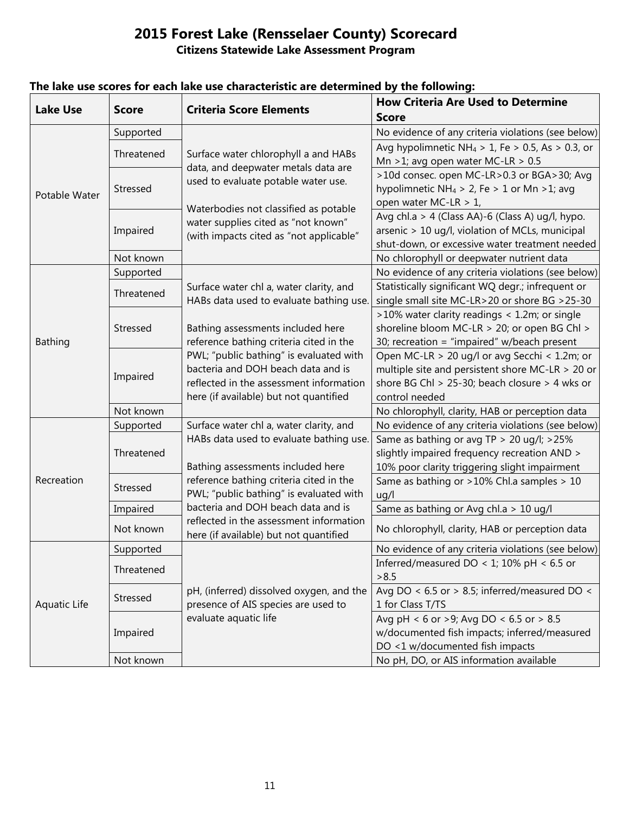| <b>Lake Use</b> | <b>Score</b> | <b>Criteria Score Elements</b>                                                                                          | <b>How Criteria Are Used to Determine</b>                                                         |
|-----------------|--------------|-------------------------------------------------------------------------------------------------------------------------|---------------------------------------------------------------------------------------------------|
|                 |              |                                                                                                                         | <b>Score</b>                                                                                      |
| Potable Water   | Supported    | Surface water chlorophyll a and HABs<br>data, and deepwater metals data are<br>used to evaluate potable water use.      | No evidence of any criteria violations (see below)                                                |
|                 | Threatened   |                                                                                                                         | Avg hypolimnetic NH <sub>4</sub> > 1, Fe > 0.5, As > 0.3, or                                      |
|                 |              |                                                                                                                         | Mn > 1; avg open water MC-LR > $0.5$                                                              |
|                 | Stressed     |                                                                                                                         | >10d consec. open MC-LR>0.3 or BGA>30; Avg                                                        |
|                 |              |                                                                                                                         | hypolimnetic NH <sub>4</sub> > 2, Fe > 1 or Mn > 1; avg                                           |
|                 |              | Waterbodies not classified as potable<br>water supplies cited as "not known"<br>(with impacts cited as "not applicable" | open water MC-LR > 1,                                                                             |
|                 | Impaired     |                                                                                                                         | Avg chl.a > 4 (Class AA)-6 (Class A) ug/l, hypo.                                                  |
|                 |              |                                                                                                                         | arsenic > 10 ug/l, violation of MCLs, municipal                                                   |
|                 |              |                                                                                                                         | shut-down, or excessive water treatment needed                                                    |
|                 | Not known    |                                                                                                                         | No chlorophyll or deepwater nutrient data                                                         |
|                 | Supported    |                                                                                                                         | No evidence of any criteria violations (see below)                                                |
|                 | Threatened   | Surface water chl a, water clarity, and<br>HABs data used to evaluate bathing use.                                      | Statistically significant WQ degr.; infrequent or                                                 |
|                 |              |                                                                                                                         | single small site MC-LR>20 or shore BG >25-30                                                     |
|                 | Stressed     |                                                                                                                         | >10% water clarity readings < 1.2m; or single                                                     |
|                 |              | Bathing assessments included here                                                                                       | shoreline bloom MC-LR > 20; or open BG Chl >                                                      |
| <b>Bathing</b>  |              | reference bathing criteria cited in the                                                                                 | 30; recreation = "impaired" w/beach present                                                       |
|                 | Impaired     | PWL; "public bathing" is evaluated with<br>bacteria and DOH beach data and is                                           | Open MC-LR > 20 ug/l or avg Secchi < 1.2m; or<br>multiple site and persistent shore MC-LR > 20 or |
|                 |              | reflected in the assessment information                                                                                 | shore BG Chl > 25-30; beach closure > 4 wks or                                                    |
|                 |              | here (if available) but not quantified                                                                                  | control needed                                                                                    |
|                 | Not known    |                                                                                                                         | No chlorophyll, clarity, HAB or perception data                                                   |
|                 | Supported    | Surface water chl a, water clarity, and                                                                                 | No evidence of any criteria violations (see below)                                                |
|                 |              | HABs data used to evaluate bathing use.                                                                                 | Same as bathing or avg TP > 20 ug/l; >25%                                                         |
| Recreation      | Threatened   |                                                                                                                         | slightly impaired frequency recreation AND >                                                      |
|                 |              | Bathing assessments included here                                                                                       | 10% poor clarity triggering slight impairment                                                     |
|                 | Stressed     | reference bathing criteria cited in the<br>PWL; "public bathing" is evaluated with                                      | Same as bathing or >10% Chl.a samples > 10                                                        |
|                 |              |                                                                                                                         | ug/l                                                                                              |
|                 | Impaired     | bacteria and DOH beach data and is                                                                                      | Same as bathing or Avg chl.a > 10 ug/l                                                            |
|                 | Not known    | reflected in the assessment information<br>here (if available) but not quantified                                       | No chlorophyll, clarity, HAB or perception data                                                   |
|                 | Supported    |                                                                                                                         | No evidence of any criteria violations (see below)                                                |
|                 |              |                                                                                                                         | Inferred/measured DO < 1; 10% pH < 6.5 or                                                         |
| Aquatic Life    | Threatened   |                                                                                                                         | >8.5                                                                                              |
|                 | Stressed     | pH, (inferred) dissolved oxygen, and the                                                                                | Avg DO < $6.5$ or > 8.5; inferred/measured DO <                                                   |
|                 |              | presence of AIS species are used to                                                                                     | 1 for Class T/TS                                                                                  |
|                 | Impaired     | evaluate aquatic life                                                                                                   | Avg pH < 6 or >9; Avg DO < 6.5 or > 8.5                                                           |
|                 |              |                                                                                                                         | w/documented fish impacts; inferred/measured                                                      |
|                 |              |                                                                                                                         | DO <1 w/documented fish impacts                                                                   |
|                 | Not known    |                                                                                                                         | No pH, DO, or AIS information available                                                           |

## **The lake use scores for each lake use characteristic are determined by the following:**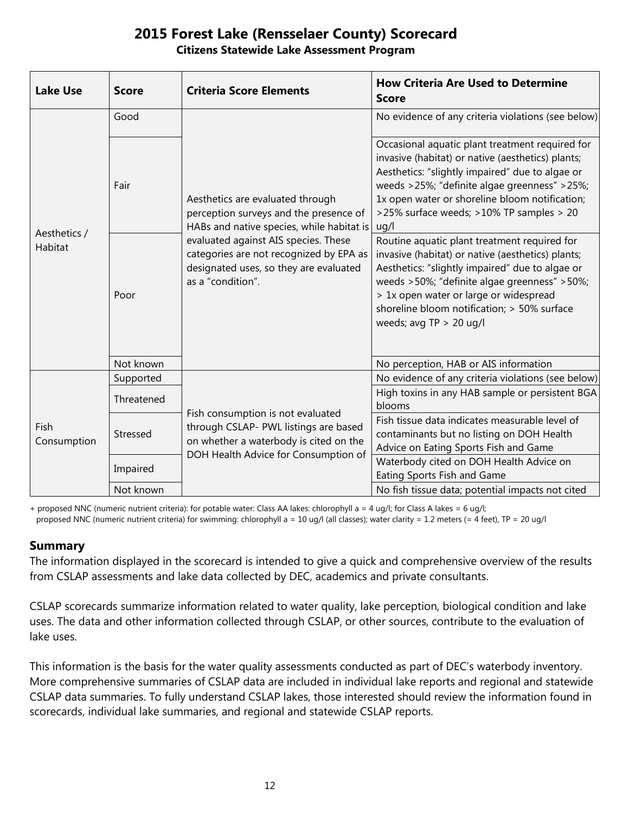| <b>Lake Use</b>                | <b>Score</b> | <b>Criteria Score Elements</b>                                                                                                                                                                                                                                            | <b>How Criteria Are Used to Determine</b><br><b>Score</b>                                                                                                                                                                                                                                                                  |
|--------------------------------|--------------|---------------------------------------------------------------------------------------------------------------------------------------------------------------------------------------------------------------------------------------------------------------------------|----------------------------------------------------------------------------------------------------------------------------------------------------------------------------------------------------------------------------------------------------------------------------------------------------------------------------|
| Aesthetics /<br><b>Habitat</b> | Good         | Aesthetics are evaluated through<br>perception surveys and the presence of<br>HABs and native species, while habitat is<br>evaluated against AIS species. These<br>categories are not recognized by EPA as<br>designated uses, so they are evaluated<br>as a "condition". | No evidence of any criteria violations (see below)                                                                                                                                                                                                                                                                         |
|                                | Fair         |                                                                                                                                                                                                                                                                           | Occasional aquatic plant treatment required for<br>invasive (habitat) or native (aesthetics) plants;<br>Aesthetics: "slightly impaired" due to algae or<br>weeds >25%; "definite algae greenness" >25%;<br>1x open water or shoreline bloom notification;<br>>25% surface weeds; >10% TP samples > 20<br>uq/l              |
|                                | Poor         |                                                                                                                                                                                                                                                                           | Routine aquatic plant treatment required for<br>invasive (habitat) or native (aesthetics) plants;<br>Aesthetics: "slightly impaired" due to algae or<br>weeds >50%; "definite algae greenness" >50%;<br>> 1x open water or large or widespread<br>shoreline bloom notification; > 50% surface<br>weeds; avg $TP > 20$ ug/l |
|                                | Not known    |                                                                                                                                                                                                                                                                           | No perception, HAB or AIS information                                                                                                                                                                                                                                                                                      |
| Fish<br>Consumption            | Supported    | Fish consumption is not evaluated<br>through CSLAP- PWL listings are based<br>on whether a waterbody is cited on the<br>DOH Health Advice for Consumption of                                                                                                              | No evidence of any criteria violations (see below)                                                                                                                                                                                                                                                                         |
|                                | Threatened   |                                                                                                                                                                                                                                                                           | High toxins in any HAB sample or persistent BGA<br>blooms                                                                                                                                                                                                                                                                  |
|                                | Stressed     |                                                                                                                                                                                                                                                                           | Fish tissue data indicates measurable level of<br>contaminants but no listing on DOH Health<br>Advice on Eating Sports Fish and Game                                                                                                                                                                                       |
|                                | Impaired     |                                                                                                                                                                                                                                                                           | Waterbody cited on DOH Health Advice on<br>Eating Sports Fish and Game                                                                                                                                                                                                                                                     |
|                                | Not known    |                                                                                                                                                                                                                                                                           | No fish tissue data; potential impacts not cited                                                                                                                                                                                                                                                                           |

+ proposed NNC (numeric nutrient criteria): for potable water: Class AA lakes: chlorophyll a = 4 ug/l; for Class A lakes = 6 ug/l; proposed NNC (numeric nutrient criteria) for swimming: chlorophyll a = 10 ug/l (all classes); water clarity = 1.2 meters (= 4 feet), TP = 20 ug/l

#### **Summary**

The information displayed in the scorecard is intended to give a quick and comprehensive overview of the results from CSLAP assessments and lake data collected by DEC, academics and private consultants.

CSLAP scorecards summarize information related to water quality, lake perception, biological condition and lake uses. The data and other information collected through CSLAP, or other sources, contribute to the evaluation of lake uses.

This information is the basis for the water quality assessments conducted as part of DEC's waterbody inventory. More comprehensive summaries of CSLAP data are included in individual lake reports and regional and statewide CSLAP data summaries. To fully understand CSLAP lakes, those interested should review the information found in scorecards, individual lake summaries, and regional and statewide CSLAP reports.